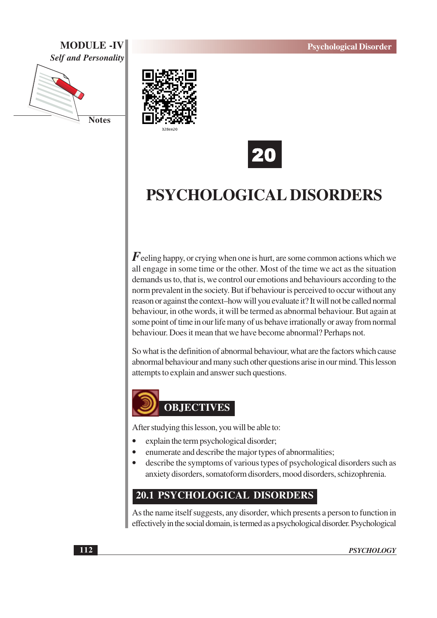## **MODULE -IV Self and Personality**







# PSYCHOLOGICAL DISORDERS

 $\boldsymbol{F}$ eeling happy, or crying when one is hurt, are some common actions which we all engage in some time or the other. Most of the time we act as the situation demands us to, that is, we control our emotions and behaviours according to the norm prevalent in the society. But if behaviour is perceived to occur without any reason or against the context-how will you evaluate it? It will not be called normal behaviour, in othe words, it will be termed as abnormal behaviour. But again at some point of time in our life many of us behave irrationally or away from normal behaviour. Does it mean that we have become abnormal? Perhaps not.

So what is the definition of abnormal behaviour, what are the factors which cause abnormal behaviour and many such other questions arise in our mind. This lesson attempts to explain and answer such questions.



After studying this lesson, you will be able to:

- explain the term psychological disorder;
- enumerate and describe the major types of abnormalities;
- describe the symptoms of various types of psychological disorders such as anxiety disorders, somatoform disorders, mood disorders, schizophrenia.

## 20.1 PSYCHOLOGICAL DISORDERS

As the name itself suggests, any disorder, which presents a person to function in effectively in the social domain, is termed as a psychological disorder. Psychological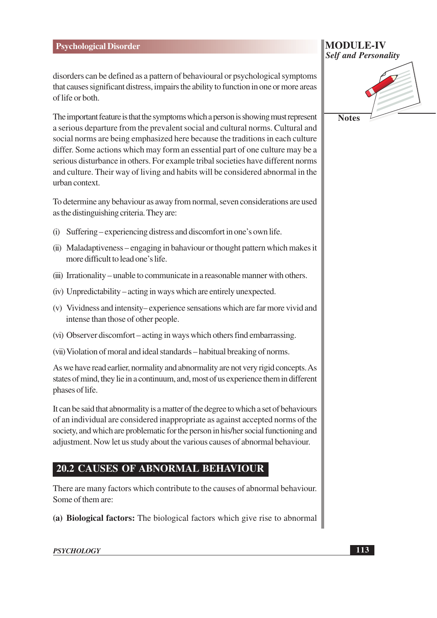disorders can be defined as a pattern of behavioural or psychological symptoms that causes significant distress, impairs the ability to function in one or more areas of life or both.

The important feature is that the symptoms which a person is showing must represent a serious departure from the prevalent social and cultural norms. Cultural and social norms are being emphasized here because the traditions in each culture differ. Some actions which may form an essential part of one culture may be a serious disturbance in others. For example tribal societies have different norms and culture. Their way of living and habits will be considered abnormal in the urban context.

To determine any behaviour as away from normal, seven considerations are used as the distinguishing criteria. They are:

- (i) Suffering experiencing distress and discomfort in one's own life.
- (ii) Maladaptiveness engaging in bahaviour or thought pattern which makes it more difficult to lead one's life.
- (iii) Irrationality unable to communicate in a reasonable manner with others.
- (iv) Unpredictability acting in ways which are entirely unexpected.
- (v) Vividness and intensity–experience sensations which are far more vivid and intense than those of other people.
- (vi) Observer discomfort acting in ways which others find embarrassing.
- (vii) Violation of moral and ideal standards habitual breaking of norms.

As we have read earlier, normality and abnormality are not very rigid concepts. As states of mind, they lie in a continuum, and, most of us experience them in different phases of life.

It can be said that abnormality is a matter of the degree to which a set of behaviours of an individual are considered inappropriate as against accepted norms of the society, and which are problematic for the person in his/her social functioning and adjustment. Now let us study about the various causes of abnormal behaviour.

## **20.2 CAUSES OF ABNORMAL BEHAVIOUR**

There are many factors which contribute to the causes of abnormal behaviour. Some of them are:

(a) Biological factors: The biological factors which give rise to abnormal

| <b>MODULE-IV</b>            |  |  |
|-----------------------------|--|--|
| <b>Self and Personality</b> |  |  |

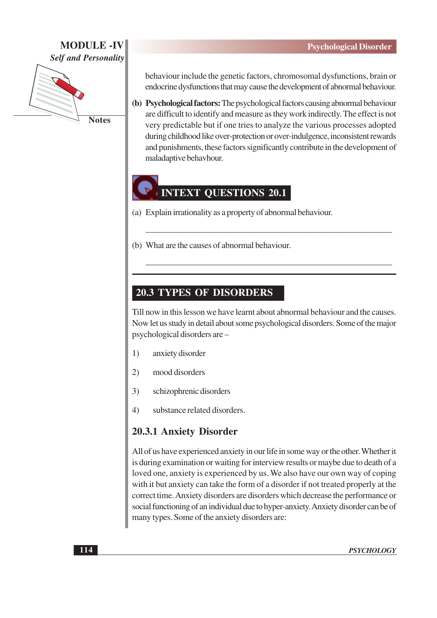## **MODULE-IV Self and Personality**



behaviour include the genetic factors, chromosomal dysfunctions, brain or endocrine dysfunctions that may cause the development of abnormal behaviour.

(b) Psychological factors: The psychological factors causing abnormal behaviour are difficult to identify and measure as they work indirectly. The effect is not very predictable but if one tries to analyze the various processes adopted during childhood like over-protection or over-indulgence, inconsistent rewards and punishments, these factors significantly contribute in the development of maladaptive behavhour.

## **INTEXT QUESTIONS 20.1**

- (a) Explain irrationality as a property of abnormal behaviour.
- (b) What are the causes of abnormal behaviour.

## **20.3 TYPES OF DISORDERS**

Till now in this lesson we have learnt about abnormal behaviour and the causes. Now let us study in detail about some psychological disorders. Some of the major psychological disorders are -

- anxiety disorder  $1)$
- $(2)$ mood disorders
- $3)$ schizophrenic disorders
- $4)$ substance related disorders.

## 20.3.1 Anxiety Disorder

All of us have experienced anxiety in our life in some way or the other. Whether it is during examination or waiting for interview results or maybe due to death of a loved one, anxiety is experienced by us. We also have our own way of coping with it but anxiety can take the form of a disorder if not treated properly at the correct time. Anxiety disorders are disorders which decrease the performance or social functioning of an individual due to hyper-anxiety. Anxiety disorder can be of many types. Some of the anxiety disorders are: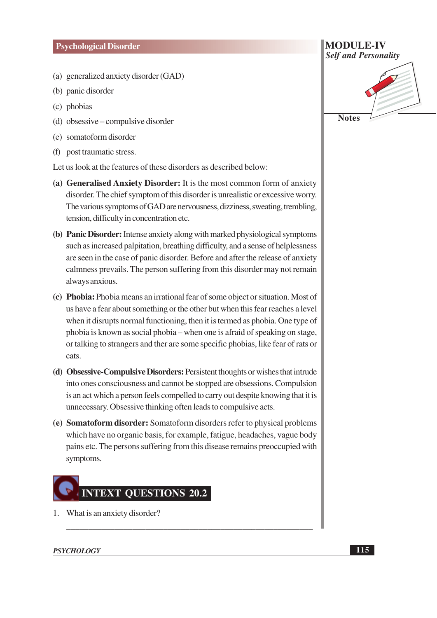#### **Psychological Disorder**

- (a) generalized anxiety disorder (GAD)
- (b) panic disorder
- (c) phobias
- (d) obsessive compulsive disorder
- (e) somatoform disorder
- (f) post traumatic stress.

Let us look at the features of these disorders as described below:

- (a) Generalised Anxiety Disorder: It is the most common form of anxiety disorder. The chief symptom of this disorder is unrealistic or excessive worry. The various symptoms of GAD are nervousness, dizziness, sweating, trembling, tension, difficulty in concentration etc.
- (b) Panic Disorder: Intense anxiety along with marked physiological symptoms such as increased palpitation, breathing difficulty, and a sense of helplessness are seen in the case of panic disorder. Before and after the release of anxiety calmness prevails. The person suffering from this disorder may not remain always anxious.
- (c) Phobia: Phobia means an irrational fear of some object or situation. Most of us have a fear about something or the other but when this fear reaches a level when it disrupts normal functioning, then it is termed as phobia. One type of phobia is known as social phobia – when one is afraid of speaking on stage, or talking to strangers and ther are some specific phobias, like fear of rats or cats.
- (d) Obsessive-Compulsive Disorders: Persistent thoughts or wishes that intrude into ones consciousness and cannot be stopped are obsessions. Compulsion is an act which a person feels compelled to carry out despite knowing that it is unnecessary. Obsessive thinking often leads to compulsive acts.
- (e) Somatoform disorder: Somatoform disorders refer to physical problems which have no organic basis, for example, fatigue, headaches, vague body pains etc. The persons suffering from this disease remains preoccupied with symptoms.

# **INTEXT QUESTIONS 20.2**

1. What is an anxiety disorder?



#### **PSYCHOLOGY**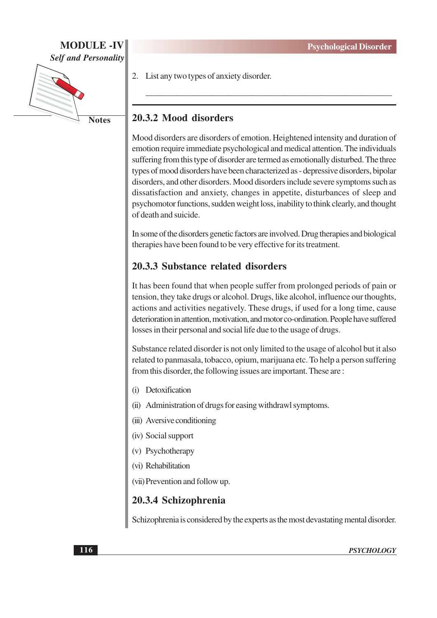## **MODULE-IV Self and Personality**



2. List any two types of anxiety disorder.

## 20.3.2 Mood disorders

Mood disorders are disorders of emotion. Heightened intensity and duration of emotion require immediate psychological and medical attention. The individuals suffering from this type of disorder are termed as emotionally disturbed. The three types of mood disorders have been characterized as - depressive disorders, bipolar disorders, and other disorders. Mood disorders include severe symptoms such as dissatisfaction and anxiety, changes in appetite, disturbances of sleep and psychomotor functions, sudden weight loss, inability to think clearly, and thought of death and suicide.

In some of the disorders genetic factors are involved. Drug therapies and biological therapies have been found to be very effective for its treatment.

## 20.3.3 Substance related disorders

It has been found that when people suffer from prolonged periods of pain or tension, they take drugs or alcohol. Drugs, like alcohol, influence our thoughts, actions and activities negatively. These drugs, if used for a long time, cause deterioration in attention, motivation, and motor co-ordination. People have suffered losses in their personal and social life due to the usage of drugs.

Substance related disorder is not only limited to the usage of alcohol but it also related to panmasala, tobacco, opium, marijuana etc. To help a person suffering from this disorder, the following issues are important. These are:

- (i) Detoxification
- (ii) Administration of drugs for easing withdrawl symptoms.
- (iii) Aversive conditioning
- (iv) Social support
- (v) Psychotherapy
- (vi) Rehabilitation

(vii) Prevention and follow up.

## 20.3.4 Schizophrenia

Schizophrenia is considered by the experts as the most devastating mental disorder.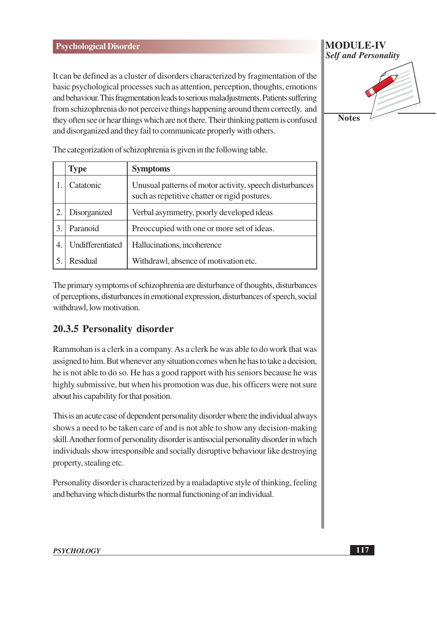#### **Psychological Disorder**

It can be defined as a cluster of disorders characterized by fragmentation of the basic psychological processes such as attention, perception, thoughts, emotions and behaviour. This fragmentation leads to serious maladjustments. Patients suffering from schizophrenia do not perceive things happening around them correctly, and they often see or hear things which are not there. Their thinking pattern is confused and disorganized and they fail to communicate properly with others.

|                | <b>Type</b>      | <b>Symptoms</b>                                                                                          |
|----------------|------------------|----------------------------------------------------------------------------------------------------------|
|                | Catatonic        | Unusual patterns of motor activity, speech disturbances<br>such as repetitive chatter or rigid postures. |
|                | Disorganized     | Verbal asymmetry, poorly developed ideas                                                                 |
| 3              | Paranoid         | Preoccupied with one or more set of ideas.                                                               |
| $\overline{4}$ | Undifferentiated | Hallucinations, incoherence                                                                              |
|                | <b>Residual</b>  | Withdrawl, absence of motivation etc.                                                                    |

The categorization of schizophrenia is given in the following table.

The primary symptoms of schizophrenia are disturbance of thoughts, disturbances of perceptions, disturbances in emotional expression, disturbances of speech, social withdrawl, low motivation.

## 20.3.5 Personality disorder

Rammohan is a clerk in a company. As a clerk he was able to do work that was assigned to him. But whenever any situation comes when he has to take a decision, he is not able to do so. He has a good rapport with his seniors because he was highly submissive, but when his promotion was due, his officers were not sure about his capability for that position.

This is an acute case of dependent personality disorder where the individual always shows a need to be taken care of and is not able to show any decision-making skill. Another form of personality disorder is antisocial personality disorder in which individuals show irresponsible and socially disruptive behaviour like destroying property, stealing etc.

Personality disorder is characterized by a maladaptive style of thinking, feeling and behaving which disturbs the normal functioning of an individual.

#### **PSYCHOLOGY**